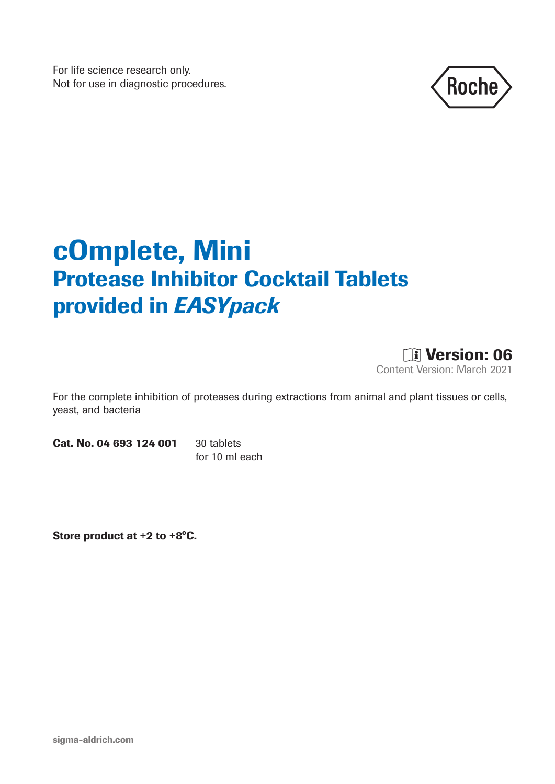For life science research only. Not for use in diagnostic procedures.



# cOmplete, Mini Protease Inhibitor Cocktail Tablets provided in *EASYpack*



For the complete inhibition of proteases during extractions from animal and plant tissues or cells, yeast, and bacteria

Cat. No. 04 693 124 001 30 tablets

for 10 ml each

Store product at +2 to +8°C.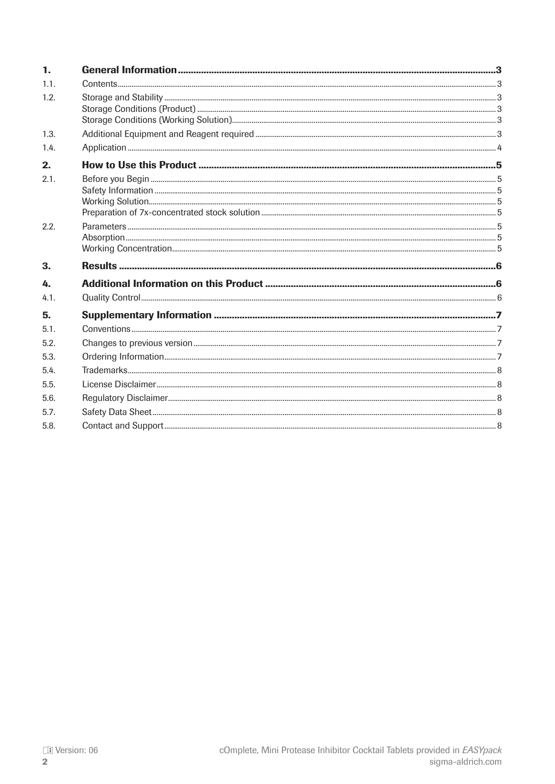| 1.   |  |
|------|--|
| 1.1. |  |
| 1.2. |  |
| 1.3. |  |
| 1.4. |  |
| 2.   |  |
| 2.1. |  |
| 2.2. |  |
| 3.   |  |
| 4    |  |
| 4.1. |  |
| 5.   |  |
| 5.1. |  |
| 5.2. |  |
| 5.3. |  |
| 5.4. |  |
| 5.5. |  |
| 5.6. |  |
| 5.7. |  |
| 5.8. |  |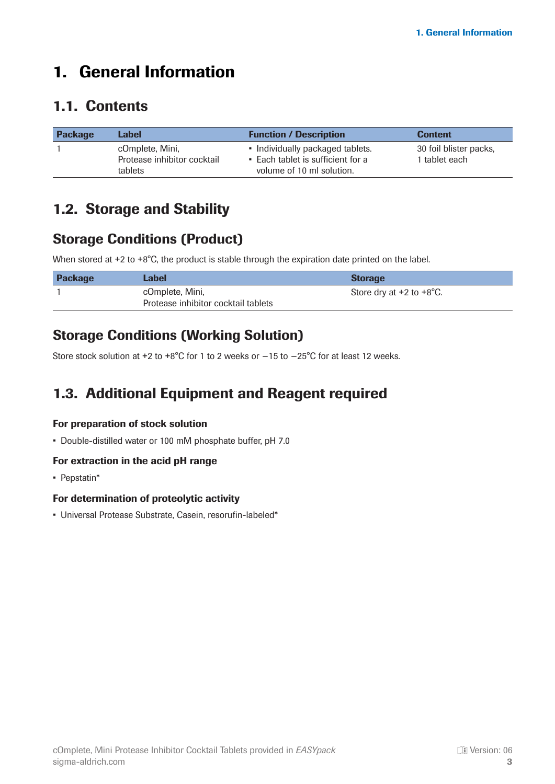# <span id="page-2-0"></span>1. General Information

#### 1.1. Contents

| <b>Package</b> | Label                                                     | <b>Function / Description</b>                                                                      | <b>Content</b>                          |
|----------------|-----------------------------------------------------------|----------------------------------------------------------------------------------------------------|-----------------------------------------|
|                | cOmplete, Mini,<br>Protease inhibitor cocktail<br>tablets | • Individually packaged tablets.<br>• Each tablet is sufficient for a<br>volume of 10 ml solution. | 30 foil blister packs,<br>1 tablet each |

#### 1.2. Storage and Stability

#### Storage Conditions (Product)

When stored at +2 to +8°C, the product is stable through the expiration date printed on the label.

| <b>Package</b> | Label                                                  | <b>Storage</b>                       |
|----------------|--------------------------------------------------------|--------------------------------------|
|                | cOmplete, Mini,<br>Protease inhibitor cocktail tablets | Store dry at $+2$ to $+8^{\circ}$ C. |

#### Storage Conditions (Working Solution)

Store stock solution at +2 to +8°C for 1 to 2 weeks or −15 to −25°C for at least 12 weeks.

### 1.3. Additional Equipment and Reagent required

#### For preparation of stock solution

• Double-distilled water or 100 mM phosphate buffer, pH 7.0

#### For extraction in the acid pH range

• Pepstatin\*

#### For determination of proteolytic activity

• Universal Protease Substrate, Casein, resorufin-labeled\*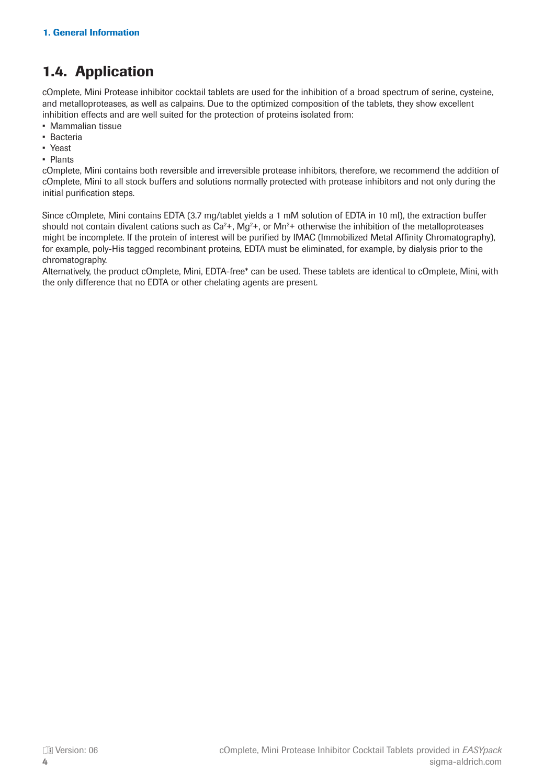### <span id="page-3-0"></span>1.4. Application

cOmplete, Mini Protease inhibitor cocktail tablets are used for the inhibition of a broad spectrum of serine, cysteine, and metalloproteases, as well as calpains. Due to the optimized composition of the tablets, they show excellent inhibition effects and are well suited for the protection of proteins isolated from:

- Mammalian tissue
- Bacteria
- Yeast
- Plants

cOmplete, Mini contains both reversible and irreversible protease inhibitors, therefore, we recommend the addition of cOmplete, Mini to all stock buffers and solutions normally protected with protease inhibitors and not only during the initial purification steps.

Since cOmplete, Mini contains EDTA (3.7 mg/tablet yields a 1 mM solution of EDTA in 10 ml), the extraction buffer should not contain divalent cations such as  $Ca^{2+}$ , Mg<sup>2</sup>+, or Mn<sup>2</sup>+ otherwise the inhibition of the metalloproteases might be incomplete. If the protein of interest will be purified by IMAC (Immobilized Metal Affinity Chromatography), for example, poly-His tagged recombinant proteins, EDTA must be eliminated, for example, by dialysis prior to the chromatography.

Alternatively, the product cOmplete, Mini, EDTA-free\* can be used. These tablets are identical to cOmplete, Mini, with the only difference that no EDTA or other chelating agents are present.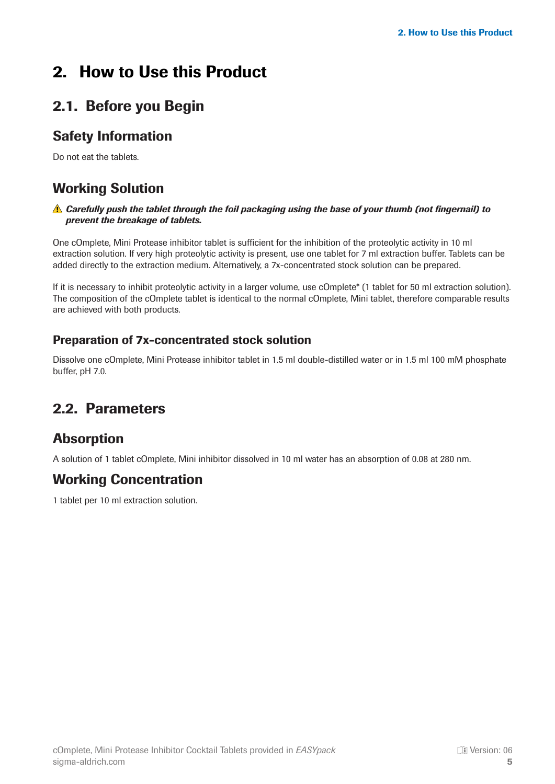# <span id="page-4-0"></span>2. How to Use this Product

### 2.1. Before you Begin

#### Safety Information

Do not eat the tablets.

#### Working Solution

#### *Carefully push the tablet through the foil packaging using the base of your thumb (not fingernail) to prevent the breakage of tablets.*

One cOmplete, Mini Protease inhibitor tablet is sufficient for the inhibition of the proteolytic activity in 10 ml extraction solution. If very high proteolytic activity is present, use one tablet for 7 ml extraction buffer. Tablets can be added directly to the extraction medium. Alternatively, a 7x-concentrated stock solution can be prepared.

If it is necessary to inhibit proteolytic activity in a larger volume, use cOmplete\* (1 tablet for 50 ml extraction solution). The composition of the cOmplete tablet is identical to the normal cOmplete, Mini tablet, therefore comparable results are achieved with both products.

#### Preparation of 7x-concentrated stock solution

Dissolve one cOmplete, Mini Protease inhibitor tablet in 1.5 ml double-distilled water or in 1.5 ml 100 mM phosphate buffer, pH 7.0.

#### 2.2. Parameters

#### Absorption

A solution of 1 tablet cOmplete, Mini inhibitor dissolved in 10 ml water has an absorption of 0.08 at 280 nm.

#### Working Concentration

1 tablet per 10 ml extraction solution.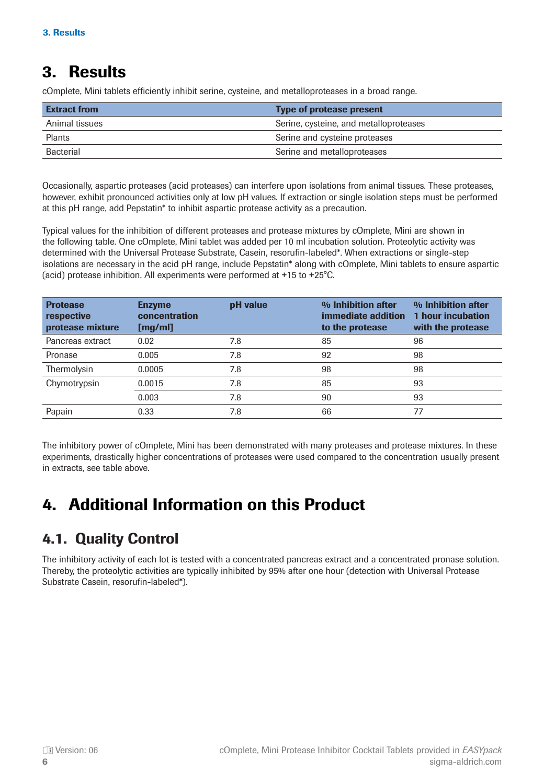# <span id="page-5-0"></span>3. Results

cOmplete, Mini tablets efficiently inhibit serine, cysteine, and metalloproteases in a broad range.

| <b>Extract from</b> | <b>Type of protease present</b>        |
|---------------------|----------------------------------------|
| Animal tissues      | Serine, cysteine, and metalloproteases |
| Plants              | Serine and cysteine proteases          |
| <b>Bacterial</b>    | Serine and metalloproteases            |

Occasionally, aspartic proteases (acid proteases) can interfere upon isolations from animal tissues. These proteases, however, exhibit pronounced activities only at low pH values. If extraction or single isolation steps must be performed at this pH range, add Pepstatin\* to inhibit aspartic protease activity as a precaution.

Typical values for the inhibition of different proteases and protease mixtures by cOmplete, Mini are shown in the following table. One cOmplete, Mini tablet was added per 10 ml incubation solution. Proteolytic activity was determined with the Universal Protease Substrate, Casein, resorufin-labeled\*. When extractions or single-step isolations are necessary in the acid pH range, include Pepstatin\* along with cOmplete, Mini tablets to ensure aspartic (acid) protease inhibition. All experiments were performed at +15 to +25°C.

| <b>Protease</b><br>respective<br>protease mixture | <b>Enzyme</b><br>concentration<br>[mg/ml] | pH value | % Inhibition after<br>immediate addition<br>to the protease | % Inhibition after<br><b>1 hour incubation</b><br>with the protease |
|---------------------------------------------------|-------------------------------------------|----------|-------------------------------------------------------------|---------------------------------------------------------------------|
| Pancreas extract                                  | 0.02                                      | 7.8      | 85                                                          | 96                                                                  |
| Pronase                                           | 0.005                                     | 7.8      | 92                                                          | 98                                                                  |
| Thermolysin                                       | 0.0005                                    | 7.8      | 98                                                          | 98                                                                  |
| Chymotrypsin                                      | 0.0015                                    | 7.8      | 85                                                          | 93                                                                  |
|                                                   | 0.003                                     | 7.8      | 90                                                          | 93                                                                  |
| Papain                                            | 0.33                                      | 7.8      | 66                                                          | 77                                                                  |

The inhibitory power of cOmplete, Mini has been demonstrated with many proteases and protease mixtures. In these experiments, drastically higher concentrations of proteases were used compared to the concentration usually present in extracts, see table above.

# 4. Additional Information on this Product

# 4.1. Quality Control

The inhibitory activity of each lot is tested with a concentrated pancreas extract and a concentrated pronase solution. Thereby, the proteolytic activities are typically inhibited by 95% after one hour (detection with Universal Protease Substrate Casein, resorufin-labeled\*).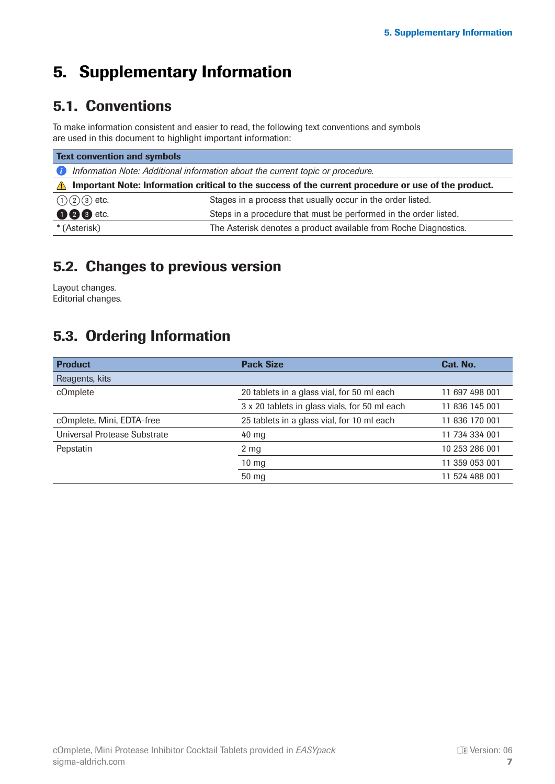# <span id="page-6-0"></span>5. Supplementary Information

### 5.1. Conventions

To make information consistent and easier to read, the following text conventions and symbols are used in this document to highlight important information:

| <b>Text convention and symbols</b>                                                                                |                                                                  |  |  |
|-------------------------------------------------------------------------------------------------------------------|------------------------------------------------------------------|--|--|
| Information Note: Additional information about the current topic or procedure.<br>Œ                               |                                                                  |  |  |
| Important Note: Information critical to the success of the current procedure or use of the product.<br>$\sqrt{N}$ |                                                                  |  |  |
| $(1)(2)(3)$ etc.                                                                                                  | Stages in a process that usually occur in the order listed.      |  |  |
| <b>006</b> etc.                                                                                                   | Steps in a procedure that must be performed in the order listed. |  |  |
| * (Asterisk)                                                                                                      | The Asterisk denotes a product available from Roche Diagnostics. |  |  |

#### 5.2. Changes to previous version

Layout changes. Editorial changes.

#### 5.3. Ordering Information

| <b>Product</b>               | <b>Pack Size</b>                              | Cat. No.       |
|------------------------------|-----------------------------------------------|----------------|
| Reagents, kits               |                                               |                |
| cOmplete                     | 20 tablets in a glass vial, for 50 ml each    | 11 697 498 001 |
|                              | 3 x 20 tablets in glass vials, for 50 ml each | 11 836 145 001 |
| cOmplete, Mini, EDTA-free    | 25 tablets in a glass vial, for 10 ml each    | 11 836 170 001 |
| Universal Protease Substrate | 40 mg                                         | 11 734 334 001 |
| Pepstatin                    | $2 \, \text{mg}$                              | 10 253 286 001 |
|                              | $10 \text{ mg}$                               | 11 359 053 001 |
|                              | 50 mg                                         | 11 524 488 001 |